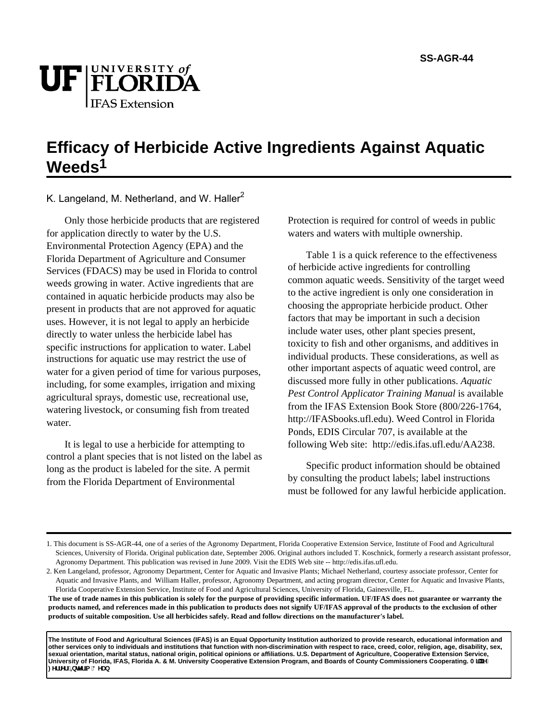

## **Efficacy of Herbicide Active Ingredients Against Aquatic Weeds1**

K. Langeland, M. Netherland, and W. Haller<sup>2</sup>

Only those herbicide products that are registered for application directly to water by the U.S. Environmental Protection Agency (EPA) and the Florida Department of Agriculture and Consumer Services (FDACS) may be used in Florida to control weeds growing in water. Active ingredients that are contained in aquatic herbicide products may also be present in products that are not approved for aquatic uses. However, it is not legal to apply an herbicide directly to water unless the herbicide label has specific instructions for application to water. Label instructions for aquatic use may restrict the use of water for a given period of time for various purposes, including, for some examples, irrigation and mixing agricultural sprays, domestic use, recreational use, watering livestock, or consuming fish from treated water.

It is legal to use a herbicide for attempting to control a plant species that is not listed on the label as long as the product is labeled for the site. A permit from the Florida Department of Environmental

Protection is required for control of weeds in public waters and waters with multiple ownership.

Table 1 is a quick reference to the effectiveness of herbicide active ingredients for controlling common aquatic weeds. Sensitivity of the target weed to the active ingredient is only one consideration in choosing the appropriate herbicide product. Other factors that may be important in such a decision include water uses, other plant species present, toxicity to fish and other organisms, and additives in individual products. These considerations, as well as other important aspects of aquatic weed control, are discussed more fully in other publications. *Aquatic Pest Control Applicator Training Manual* is available from the IFAS Extension Book Store (800/226-1764, http://IFASbooks.ufl.edu). Weed Control in Florida Ponds, EDIS Circular 707, is available at the following Web site: http://edis.ifas.ufl.edu/AA238.

Specific product information should be obtained by consulting the product labels; label instructions must be followed for any lawful herbicide application.

**The Institute of Food and Agricultural Sciences (IFAS) is an Equal Opportunity Institution authorized to provide research, educational information and other services only to individuals and institutions that function with non-discrimination with respect to race, creed, color, religion, age, disability, sex, sexual orientation, marital status, national origin, political opinions or affiliations. U.S. Department of Agriculture, Cooperative Extension Service,**  University of Florida, IFAS, Florida A. & M. University Cooperative Extension Program, and Boards of County Commissioners Cooperating. A [`]Y` YffYfž=bhYf]a '8 YUb

<sup>1.</sup> This document is SS-AGR-44, one of a series of the Agronomy Department, Florida Cooperative Extension Service, Institute of Food and Agricultural Sciences, University of Florida. Original publication date, September 2006. Original authors included T. Koschnick, formerly a research assistant professor, Agronomy Department. This publication was revised in June 2009. Visit the EDIS Web site -- http://edis.ifas.ufl.edu.

<sup>2.</sup> Ken Langeland, professor, Agronomy Department, Center for Aquatic and Invasive Plants; Michael Netherland, courtesy associate professor, Center for Aquatic and Invasive Plants, and William Haller, professor, Agronomy Department, and acting program director, Center for Aquatic and Invasive Plants, Florida Cooperative Extension Service, Institute of Food and Agricultural Sciences, University of Florida, Gainesville, FL.

**The use of trade names in this publication is solely for the purpose of providing specific information. UF/IFAS does not guarantee or warranty the products named, and references made in this publication to products does not signify UF/IFAS approval of the products to the exclusion of other products of suitable composition. Use all herbicides safely. Read and follow directions on the manufacturer's label.**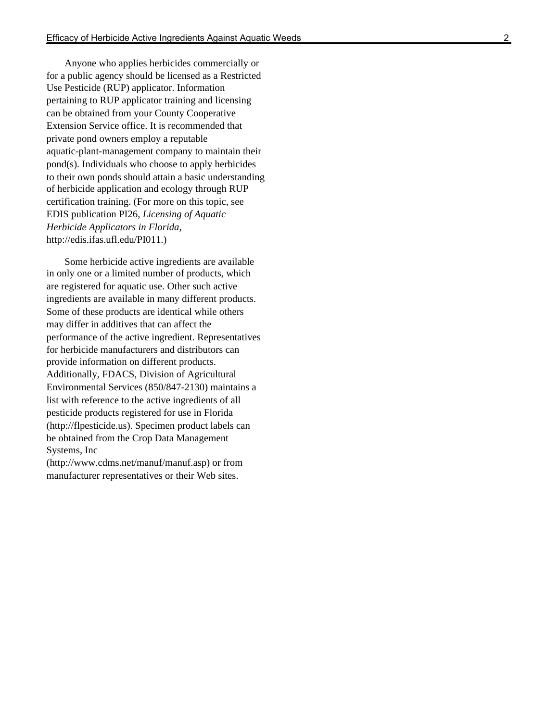Anyone who applies herbicides commercially or for a public agency should be licensed as a Restricted Use Pesticide (RUP) applicator. Information pertaining to RUP applicator training and licensing can be obtained from your County Cooperative Extension Service office. It is recommended that private pond owners employ a reputable aquatic-plant-management company to maintain their pond(s). Individuals who choose to apply herbicides to their own ponds should attain a basic understanding of herbicide application and ecology through RUP certification training. (For more on this topic, see EDIS publication PI26, *Licensing of Aquatic Herbicide Applicators in Florida*, http://edis.ifas.ufl.edu/PI011.)

Some herbicide active ingredients are available in only one or a limited number of products, which are registered for aquatic use. Other such active ingredients are available in many different products. Some of these products are identical while others may differ in additives that can affect the performance of the active ingredient. Representatives for herbicide manufacturers and distributors can provide information on different products. Additionally, FDACS, Division of Agricultural Environmental Services (850/847-2130) maintains a list with reference to the active ingredients of all pesticide products registered for use in Florida (http://flpesticide.us). Specimen product labels can be obtained from the Crop Data Management Systems, Inc

(http://www.cdms.net/manuf/manuf.asp) or from manufacturer representatives or their Web sites.